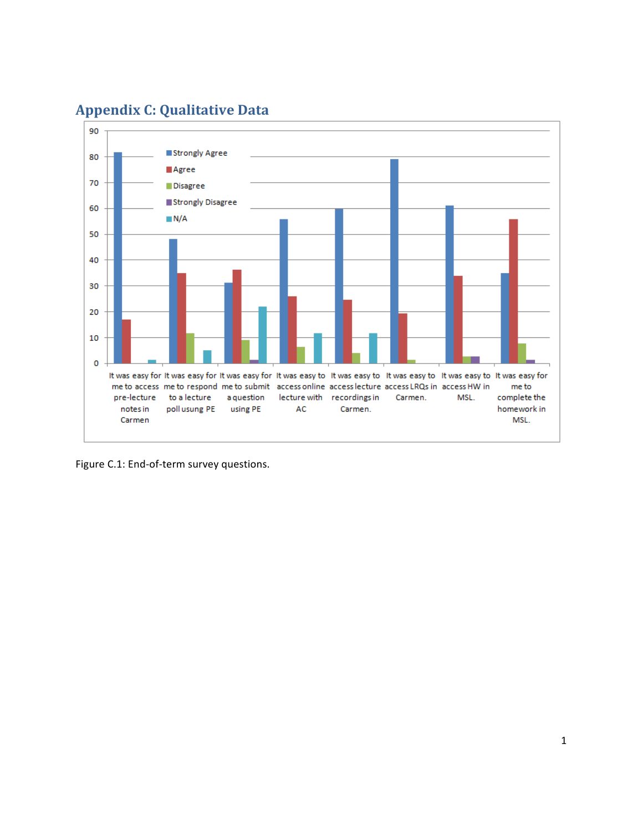

## **Appendix C: Qualitative Data**

Figure C.1: End-of-term survey questions.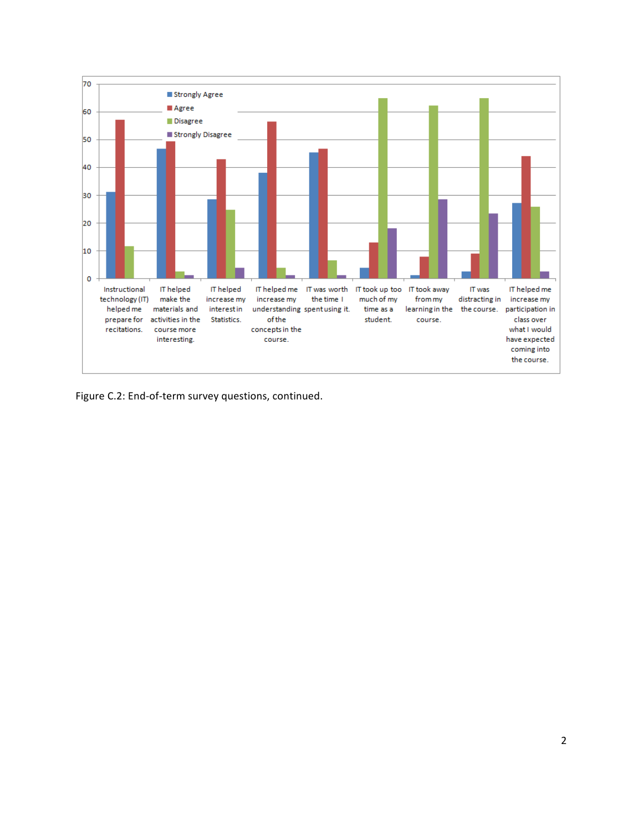

Figure C.2: End-of-term survey questions, continued.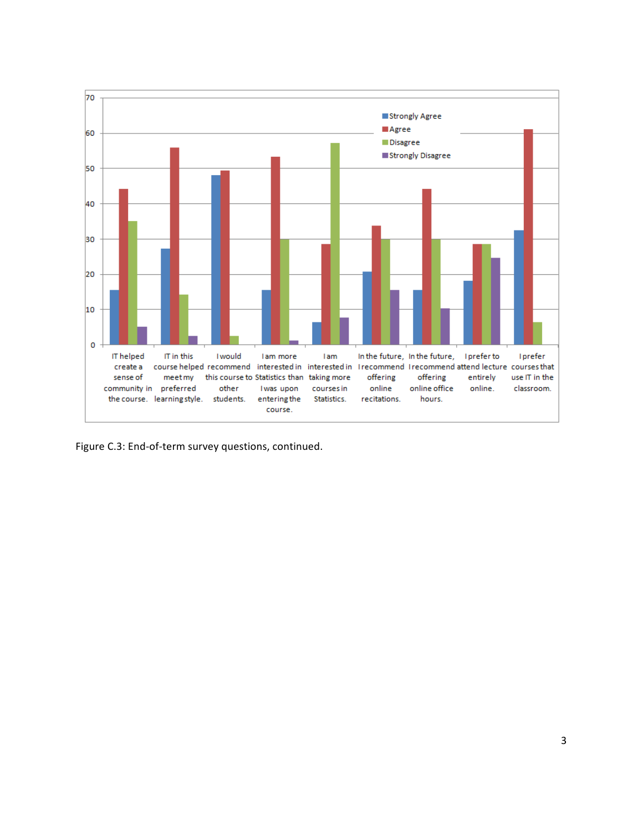

Figure C.3: End-of-term survey questions, continued.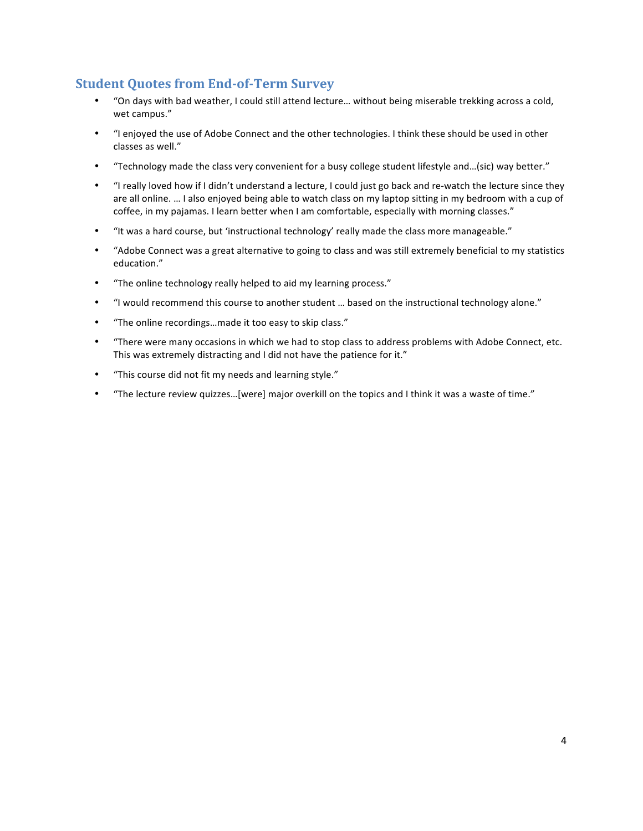## **Student Quotes from End-of-Term Survey**

- "On days with bad weather, I could still attend lecture... without being miserable trekking across a cold, wet campus."
- "I enjoyed the use of Adobe Connect and the other technologies. I think these should be used in other classes as well."
- "Technology made the class very convenient for a busy college student lifestyle and...(sic) way better."
- "I really loved how if I didn't understand a lecture, I could just go back and re-watch the lecture since they are all online. ... I also enjoyed being able to watch class on my laptop sitting in my bedroom with a cup of coffee, in my pajamas. I learn better when I am comfortable, especially with morning classes."
- "It was a hard course, but 'instructional technology' really made the class more manageable."
- "Adobe Connect was a great alternative to going to class and was still extremely beneficial to my statistics education."
- "The online technology really helped to aid my learning process."
- "I would recommend this course to another student ... based on the instructional technology alone."
- "The online recordings...made it too easy to skip class."
- "There were many occasions in which we had to stop class to address problems with Adobe Connect, etc. This was extremely distracting and I did not have the patience for it."
- "This course did not fit my needs and learning style."
- "The lecture review quizzes...[were] major overkill on the topics and I think it was a waste of time."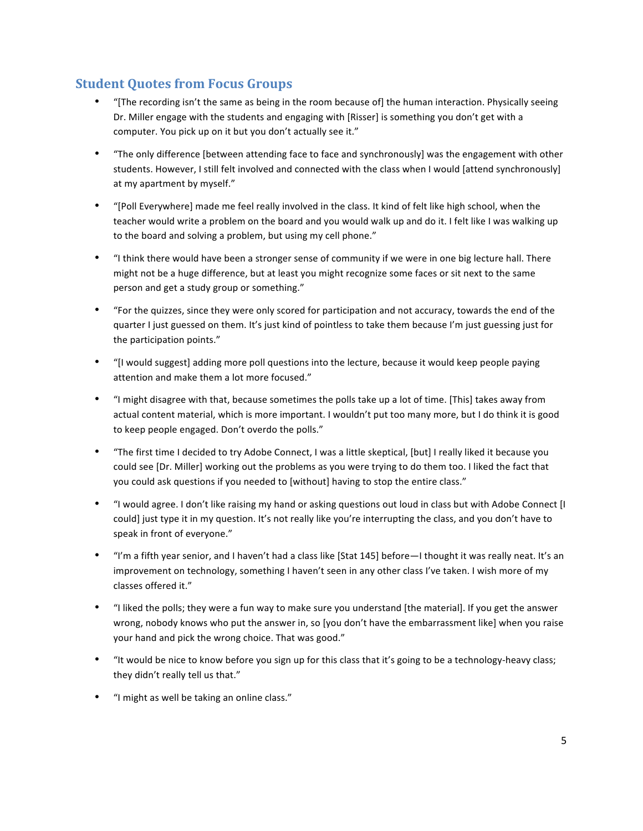## **Student Quotes from Focus Groups**

- "[The recording isn't the same as being in the room because of] the human interaction. Physically seeing Dr. Miller engage with the students and engaging with [Risser] is something you don't get with a computer. You pick up on it but you don't actually see it."
- "The only difference [between attending face to face and synchronously] was the engagement with other students. However, I still felt involved and connected with the class when I would [attend synchronously] at my apartment by myself."
- "[Poll Everywhere] made me feel really involved in the class. It kind of felt like high school, when the teacher would write a problem on the board and you would walk up and do it. I felt like I was walking up to the board and solving a problem, but using my cell phone."
- "I think there would have been a stronger sense of community if we were in one big lecture hall. There might not be a huge difference, but at least you might recognize some faces or sit next to the same person and get a study group or something."
- "For the quizzes, since they were only scored for participation and not accuracy, towards the end of the quarter I just guessed on them. It's just kind of pointless to take them because I'm just guessing just for the participation points."
- "[I would suggest] adding more poll questions into the lecture, because it would keep people paying attention and make them a lot more focused."
- "I might disagree with that, because sometimes the polls take up a lot of time. [This] takes away from actual content material, which is more important. I wouldn't put too many more, but I do think it is good to keep people engaged. Don't overdo the polls."
- "The first time I decided to try Adobe Connect, I was a little skeptical, [but] I really liked it because you could see [Dr. Miller] working out the problems as you were trying to do them too. I liked the fact that you could ask questions if you needed to [without] having to stop the entire class."
- "I would agree. I don't like raising my hand or asking questions out loud in class but with Adobe Connect [I could] just type it in my question. It's not really like you're interrupting the class, and you don't have to speak in front of everyone."
- "I'm a fifth year senior, and I haven't had a class like [Stat 145] before—I thought it was really neat. It's an improvement on technology, something I haven't seen in any other class I've taken. I wish more of my classes offered it."
- "I liked the polls; they were a fun way to make sure you understand [the material]. If you get the answer wrong, nobody knows who put the answer in, so [you don't have the embarrassment like] when you raise your hand and pick the wrong choice. That was good."
- "It would be nice to know before you sign up for this class that it's going to be a technology-heavy class; they didn't really tell us that."
- "I might as well be taking an online class."